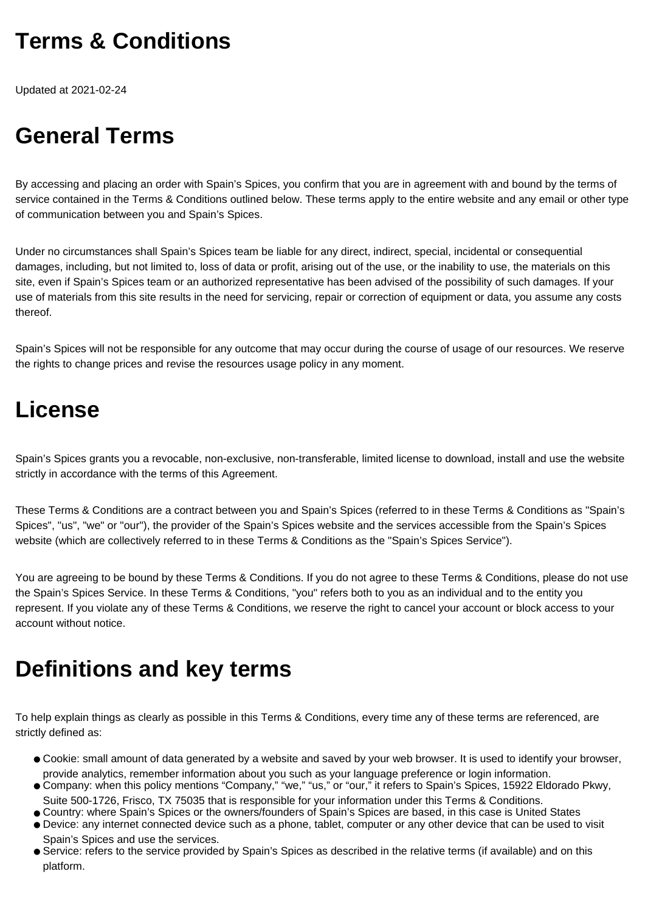## **Terms & Conditions**

Updated at 2021-02-24

# **General Terms**

By accessing and placing an order with Spain's Spices, you confirm that you are in agreement with and bound by the terms of service contained in the Terms & Conditions outlined below. These terms apply to the entire website and any email or other type of communication between you and Spain's Spices.

Under no circumstances shall Spain's Spices team be liable for any direct, indirect, special, incidental or consequential damages, including, but not limited to, loss of data or profit, arising out of the use, or the inability to use, the materials on this site, even if Spain's Spices team or an authorized representative has been advised of the possibility of such damages. If your use of materials from this site results in the need for servicing, repair or correction of equipment or data, you assume any costs thereof.

Spain's Spices will not be responsible for any outcome that may occur during the course of usage of our resources. We reserve the rights to change prices and revise the resources usage policy in any moment.

### **License**

Spain's Spices grants you a revocable, non-exclusive, non-transferable, limited license to download, install and use the website strictly in accordance with the terms of this Agreement.

These Terms & Conditions are a contract between you and Spain's Spices (referred to in these Terms & Conditions as "Spain's Spices", "us", "we" or "our"), the provider of the Spain's Spices website and the services accessible from the Spain's Spices website (which are collectively referred to in these Terms & Conditions as the "Spain's Spices Service").

You are agreeing to be bound by these Terms & Conditions. If you do not agree to these Terms & Conditions, please do not use the Spain's Spices Service. In these Terms & Conditions, "you" refers both to you as an individual and to the entity you represent. If you violate any of these Terms & Conditions, we reserve the right to cancel your account or block access to your account without notice.

## **Definitions and key terms**

To help explain things as clearly as possible in this Terms & Conditions, every time any of these terms are referenced, are strictly defined as:

- Cookie: small amount of data generated by a website and saved by your web browser. It is used to identify your browser, provide analytics, remember information about you such as your language preference or login information.
- Company: when this policy mentions "Company," "we," "us," or "our," it refers to Spain's Spices, 15922 Eldorado Pkwy, Suite 500-1726, Frisco, TX 75035 that is responsible for your information under this Terms & Conditions.
- Country: where Spain's Spices or the owners/founders of Spain's Spices are based, in this case is United States
- Device: any internet connected device such as a phone, tablet, computer or any other device that can be used to visit Spain's Spices and use the services.
- Service: refers to the service provided by Spain's Spices as described in the relative terms (if available) and on this platform.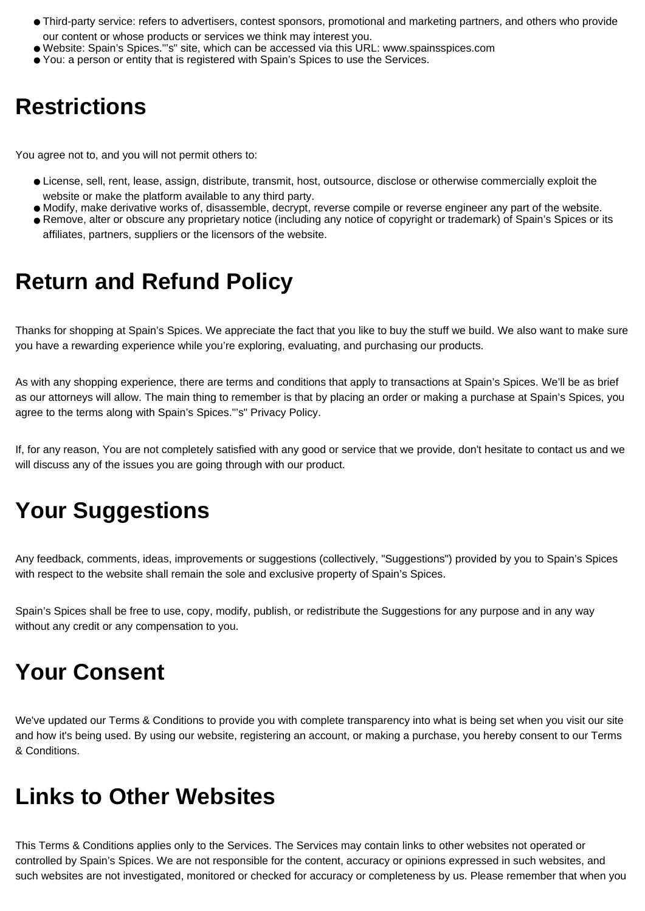- Third-party service: refers to advertisers, contest sponsors, promotional and marketing partners, and others who provide our content or whose products or services we think may interest you.
- Website: Spain's Spices."'s" site, which can be accessed via this URL: www.spainsspices.com
- You: a person or entity that is registered with Spain's Spices to use the Services.

#### **Restrictions**

You agree not to, and you will not permit others to:

- License, sell, rent, lease, assign, distribute, transmit, host, outsource, disclose or otherwise commercially exploit the website or make the platform available to any third party.
- Modify, make derivative works of, disassemble, decrypt, reverse compile or reverse engineer any part of the website.
- Remove, alter or obscure any proprietary notice (including any notice of copyright or trademark) of Spain's Spices or its affiliates, partners, suppliers or the licensors of the website.

### **Return and Refund Policy**

Thanks for shopping at Spain's Spices. We appreciate the fact that you like to buy the stuff we build. We also want to make sure you have a rewarding experience while you're exploring, evaluating, and purchasing our products.

As with any shopping experience, there are terms and conditions that apply to transactions at Spain's Spices. We'll be as brief as our attorneys will allow. The main thing to remember is that by placing an order or making a purchase at Spain's Spices, you agree to the terms along with Spain's Spices."'s" Privacy Policy.

If, for any reason, You are not completely satisfied with any good or service that we provide, don't hesitate to contact us and we will discuss any of the issues you are going through with our product.

## **Your Suggestions**

Any feedback, comments, ideas, improvements or suggestions (collectively, "Suggestions") provided by you to Spain's Spices with respect to the website shall remain the sole and exclusive property of Spain's Spices.

Spain's Spices shall be free to use, copy, modify, publish, or redistribute the Suggestions for any purpose and in any way without any credit or any compensation to you.

### **Your Consent**

We've updated our Terms & Conditions to provide you with complete transparency into what is being set when you visit our site and how it's being used. By using our website, registering an account, or making a purchase, you hereby consent to our Terms & Conditions.

#### **Links to Other Websites**

This Terms & Conditions applies only to the Services. The Services may contain links to other websites not operated or controlled by Spain's Spices. We are not responsible for the content, accuracy or opinions expressed in such websites, and such websites are not investigated, monitored or checked for accuracy or completeness by us. Please remember that when you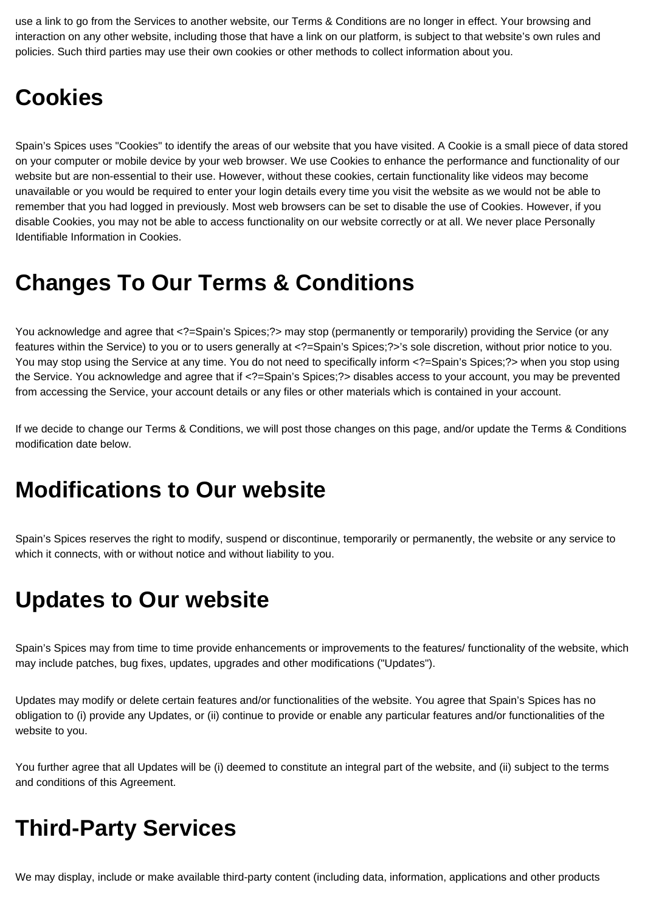use a link to go from the Services to another website, our Terms & Conditions are no longer in effect. Your browsing and interaction on any other website, including those that have a link on our platform, is subject to that website's own rules and policies. Such third parties may use their own cookies or other methods to collect information about you.

### **Cookies**

Spain's Spices uses "Cookies" to identify the areas of our website that you have visited. A Cookie is a small piece of data stored on your computer or mobile device by your web browser. We use Cookies to enhance the performance and functionality of our website but are non-essential to their use. However, without these cookies, certain functionality like videos may become unavailable or you would be required to enter your login details every time you visit the website as we would not be able to remember that you had logged in previously. Most web browsers can be set to disable the use of Cookies. However, if you disable Cookies, you may not be able to access functionality on our website correctly or at all. We never place Personally Identifiable Information in Cookies.

### **Changes To Our Terms & Conditions**

You acknowledge and agree that <?=Spain's Spices;?> may stop (permanently or temporarily) providing the Service (or any features within the Service) to you or to users generally at <?=Spain's Spices;?>'s sole discretion, without prior notice to you. You may stop using the Service at any time. You do not need to specifically inform <?=Spain's Spices;?> when you stop using the Service. You acknowledge and agree that if <?=Spain's Spices;?> disables access to your account, you may be prevented from accessing the Service, your account details or any files or other materials which is contained in your account.

If we decide to change our Terms & Conditions, we will post those changes on this page, and/or update the Terms & Conditions modification date below.

### **Modifications to Our website**

Spain's Spices reserves the right to modify, suspend or discontinue, temporarily or permanently, the website or any service to which it connects, with or without notice and without liability to you.

### **Updates to Our website**

Spain's Spices may from time to time provide enhancements or improvements to the features/ functionality of the website, which may include patches, bug fixes, updates, upgrades and other modifications ("Updates").

Updates may modify or delete certain features and/or functionalities of the website. You agree that Spain's Spices has no obligation to (i) provide any Updates, or (ii) continue to provide or enable any particular features and/or functionalities of the website to you.

You further agree that all Updates will be (i) deemed to constitute an integral part of the website, and (ii) subject to the terms and conditions of this Agreement.

## **Third-Party Services**

We may display, include or make available third-party content (including data, information, applications and other products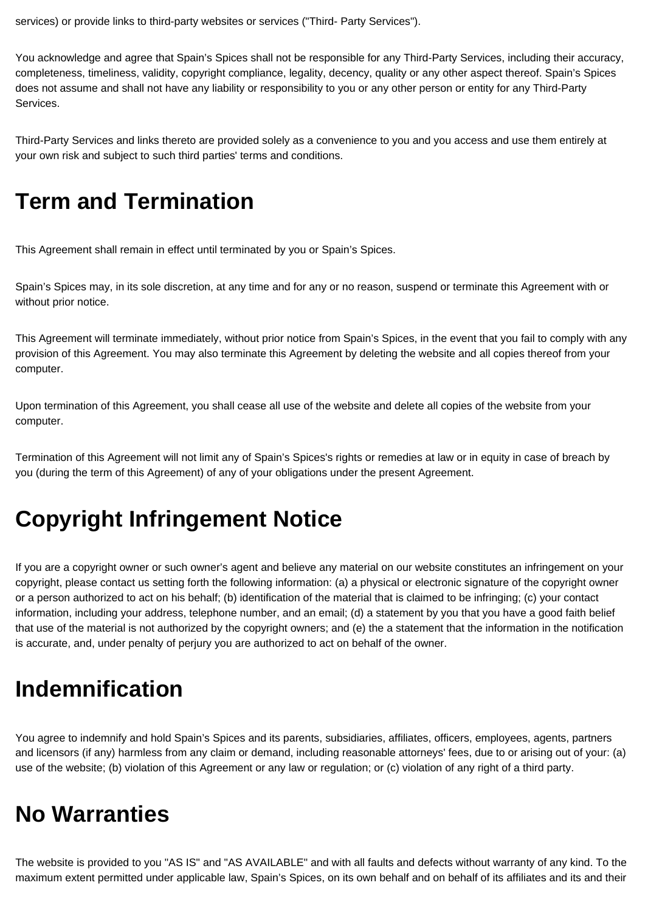services) or provide links to third-party websites or services ("Third- Party Services").

You acknowledge and agree that Spain's Spices shall not be responsible for any Third-Party Services, including their accuracy, completeness, timeliness, validity, copyright compliance, legality, decency, quality or any other aspect thereof. Spain's Spices does not assume and shall not have any liability or responsibility to you or any other person or entity for any Third-Party Services.

Third-Party Services and links thereto are provided solely as a convenience to you and you access and use them entirely at your own risk and subject to such third parties' terms and conditions.

### **Term and Termination**

This Agreement shall remain in effect until terminated by you or Spain's Spices.

Spain's Spices may, in its sole discretion, at any time and for any or no reason, suspend or terminate this Agreement with or without prior notice.

This Agreement will terminate immediately, without prior notice from Spain's Spices, in the event that you fail to comply with any provision of this Agreement. You may also terminate this Agreement by deleting the website and all copies thereof from your computer.

Upon termination of this Agreement, you shall cease all use of the website and delete all copies of the website from your computer.

Termination of this Agreement will not limit any of Spain's Spices's rights or remedies at law or in equity in case of breach by you (during the term of this Agreement) of any of your obligations under the present Agreement.

## **Copyright Infringement Notice**

If you are a copyright owner or such owner's agent and believe any material on our website constitutes an infringement on your copyright, please contact us setting forth the following information: (a) a physical or electronic signature of the copyright owner or a person authorized to act on his behalf; (b) identification of the material that is claimed to be infringing; (c) your contact information, including your address, telephone number, and an email; (d) a statement by you that you have a good faith belief that use of the material is not authorized by the copyright owners; and (e) the a statement that the information in the notification is accurate, and, under penalty of perjury you are authorized to act on behalf of the owner.

## **Indemnification**

You agree to indemnify and hold Spain's Spices and its parents, subsidiaries, affiliates, officers, employees, agents, partners and licensors (if any) harmless from any claim or demand, including reasonable attorneys' fees, due to or arising out of your: (a) use of the website; (b) violation of this Agreement or any law or regulation; or (c) violation of any right of a third party.

## **No Warranties**

The website is provided to you "AS IS" and "AS AVAILABLE" and with all faults and defects without warranty of any kind. To the maximum extent permitted under applicable law, Spain's Spices, on its own behalf and on behalf of its affiliates and its and their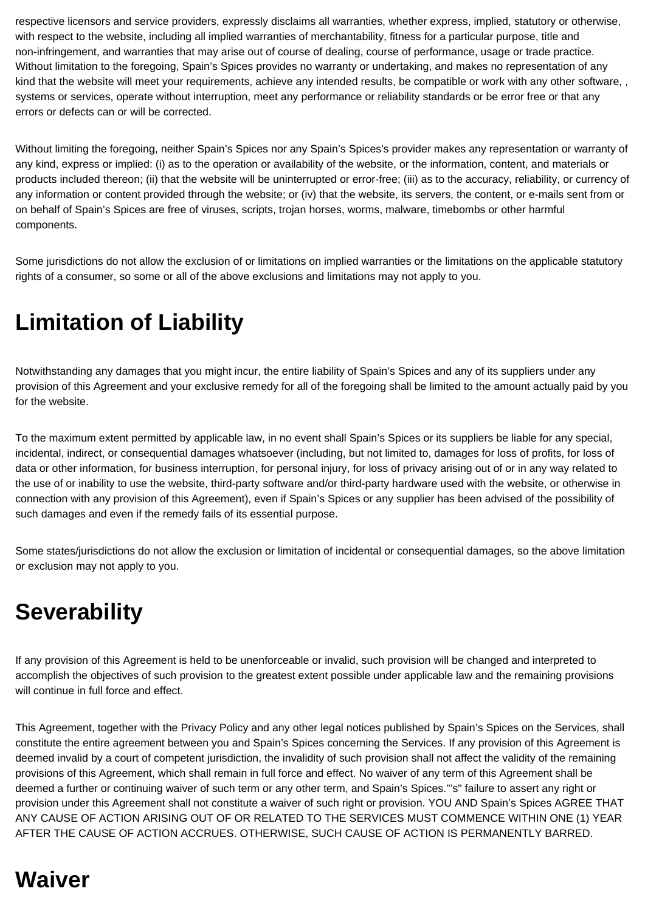respective licensors and service providers, expressly disclaims all warranties, whether express, implied, statutory or otherwise, with respect to the website, including all implied warranties of merchantability, fitness for a particular purpose, title and non-infringement, and warranties that may arise out of course of dealing, course of performance, usage or trade practice. Without limitation to the foregoing, Spain's Spices provides no warranty or undertaking, and makes no representation of any kind that the website will meet your requirements, achieve any intended results, be compatible or work with any other software, , systems or services, operate without interruption, meet any performance or reliability standards or be error free or that any errors or defects can or will be corrected.

Without limiting the foregoing, neither Spain's Spices nor any Spain's Spices's provider makes any representation or warranty of any kind, express or implied: (i) as to the operation or availability of the website, or the information, content, and materials or products included thereon; (ii) that the website will be uninterrupted or error-free; (iii) as to the accuracy, reliability, or currency of any information or content provided through the website; or (iv) that the website, its servers, the content, or e-mails sent from or on behalf of Spain's Spices are free of viruses, scripts, trojan horses, worms, malware, timebombs or other harmful components.

Some jurisdictions do not allow the exclusion of or limitations on implied warranties or the limitations on the applicable statutory rights of a consumer, so some or all of the above exclusions and limitations may not apply to you.

# **Limitation of Liability**

Notwithstanding any damages that you might incur, the entire liability of Spain's Spices and any of its suppliers under any provision of this Agreement and your exclusive remedy for all of the foregoing shall be limited to the amount actually paid by you for the website.

To the maximum extent permitted by applicable law, in no event shall Spain's Spices or its suppliers be liable for any special, incidental, indirect, or consequential damages whatsoever (including, but not limited to, damages for loss of profits, for loss of data or other information, for business interruption, for personal injury, for loss of privacy arising out of or in any way related to the use of or inability to use the website, third-party software and/or third-party hardware used with the website, or otherwise in connection with any provision of this Agreement), even if Spain's Spices or any supplier has been advised of the possibility of such damages and even if the remedy fails of its essential purpose.

Some states/jurisdictions do not allow the exclusion or limitation of incidental or consequential damages, so the above limitation or exclusion may not apply to you.

## **Severability**

If any provision of this Agreement is held to be unenforceable or invalid, such provision will be changed and interpreted to accomplish the objectives of such provision to the greatest extent possible under applicable law and the remaining provisions will continue in full force and effect.

This Agreement, together with the Privacy Policy and any other legal notices published by Spain's Spices on the Services, shall constitute the entire agreement between you and Spain's Spices concerning the Services. If any provision of this Agreement is deemed invalid by a court of competent jurisdiction, the invalidity of such provision shall not affect the validity of the remaining provisions of this Agreement, which shall remain in full force and effect. No waiver of any term of this Agreement shall be deemed a further or continuing waiver of such term or any other term, and Spain's Spices."'s" failure to assert any right or provision under this Agreement shall not constitute a waiver of such right or provision. YOU AND Spain's Spices AGREE THAT ANY CAUSE OF ACTION ARISING OUT OF OR RELATED TO THE SERVICES MUST COMMENCE WITHIN ONE (1) YEAR AFTER THE CAUSE OF ACTION ACCRUES. OTHERWISE, SUCH CAUSE OF ACTION IS PERMANENTLY BARRED.

## **Waiver**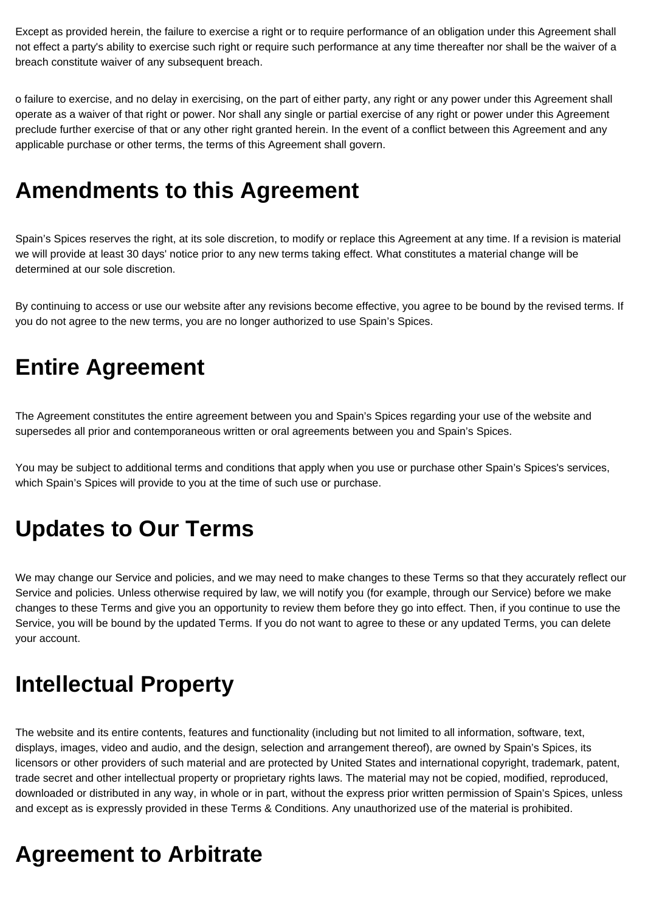Except as provided herein, the failure to exercise a right or to require performance of an obligation under this Agreement shall not effect a party's ability to exercise such right or require such performance at any time thereafter nor shall be the waiver of a breach constitute waiver of any subsequent breach.

o failure to exercise, and no delay in exercising, on the part of either party, any right or any power under this Agreement shall operate as a waiver of that right or power. Nor shall any single or partial exercise of any right or power under this Agreement preclude further exercise of that or any other right granted herein. In the event of a conflict between this Agreement and any applicable purchase or other terms, the terms of this Agreement shall govern.

## **Amendments to this Agreement**

Spain's Spices reserves the right, at its sole discretion, to modify or replace this Agreement at any time. If a revision is material we will provide at least 30 days' notice prior to any new terms taking effect. What constitutes a material change will be determined at our sole discretion.

By continuing to access or use our website after any revisions become effective, you agree to be bound by the revised terms. If you do not agree to the new terms, you are no longer authorized to use Spain's Spices.

## **Entire Agreement**

The Agreement constitutes the entire agreement between you and Spain's Spices regarding your use of the website and supersedes all prior and contemporaneous written or oral agreements between you and Spain's Spices.

You may be subject to additional terms and conditions that apply when you use or purchase other Spain's Spices's services, which Spain's Spices will provide to you at the time of such use or purchase.

## **Updates to Our Terms**

We may change our Service and policies, and we may need to make changes to these Terms so that they accurately reflect our Service and policies. Unless otherwise required by law, we will notify you (for example, through our Service) before we make changes to these Terms and give you an opportunity to review them before they go into effect. Then, if you continue to use the Service, you will be bound by the updated Terms. If you do not want to agree to these or any updated Terms, you can delete your account.

## **Intellectual Property**

The website and its entire contents, features and functionality (including but not limited to all information, software, text, displays, images, video and audio, and the design, selection and arrangement thereof), are owned by Spain's Spices, its licensors or other providers of such material and are protected by United States and international copyright, trademark, patent, trade secret and other intellectual property or proprietary rights laws. The material may not be copied, modified, reproduced, downloaded or distributed in any way, in whole or in part, without the express prior written permission of Spain's Spices, unless and except as is expressly provided in these Terms & Conditions. Any unauthorized use of the material is prohibited.

## **Agreement to Arbitrate**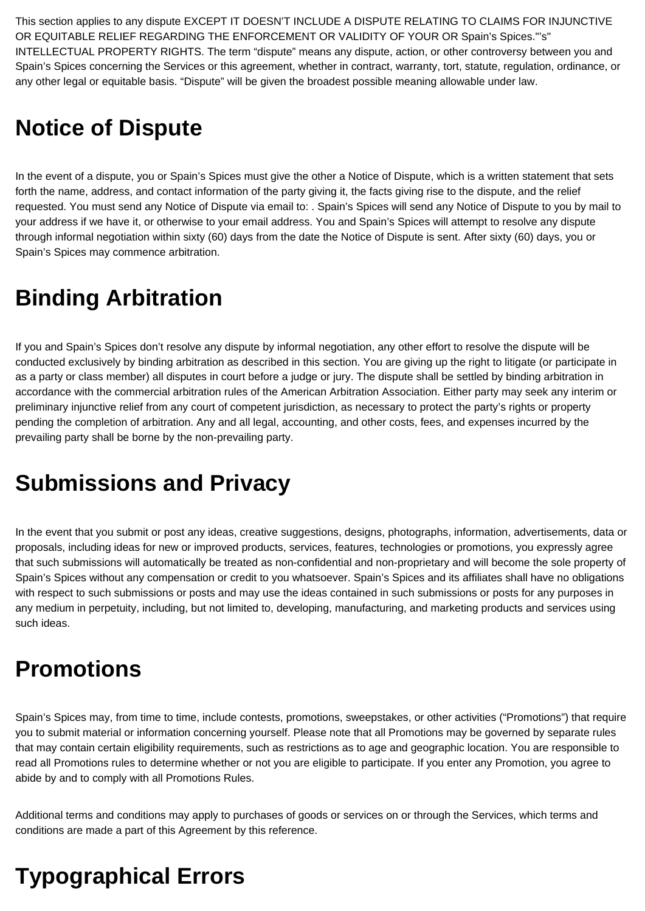This section applies to any dispute EXCEPT IT DOESN'T INCLUDE A DISPUTE RELATING TO CLAIMS FOR INJUNCTIVE OR EQUITABLE RELIEF REGARDING THE ENFORCEMENT OR VALIDITY OF YOUR OR Spain's Spices."'s" INTELLECTUAL PROPERTY RIGHTS. The term "dispute" means any dispute, action, or other controversy between you and Spain's Spices concerning the Services or this agreement, whether in contract, warranty, tort, statute, regulation, ordinance, or any other legal or equitable basis. "Dispute" will be given the broadest possible meaning allowable under law.

## **Notice of Dispute**

In the event of a dispute, you or Spain's Spices must give the other a Notice of Dispute, which is a written statement that sets forth the name, address, and contact information of the party giving it, the facts giving rise to the dispute, and the relief requested. You must send any Notice of Dispute via email to: . Spain's Spices will send any Notice of Dispute to you by mail to your address if we have it, or otherwise to your email address. You and Spain's Spices will attempt to resolve any dispute through informal negotiation within sixty (60) days from the date the Notice of Dispute is sent. After sixty (60) days, you or Spain's Spices may commence arbitration.

# **Binding Arbitration**

If you and Spain's Spices don't resolve any dispute by informal negotiation, any other effort to resolve the dispute will be conducted exclusively by binding arbitration as described in this section. You are giving up the right to litigate (or participate in as a party or class member) all disputes in court before a judge or jury. The dispute shall be settled by binding arbitration in accordance with the commercial arbitration rules of the American Arbitration Association. Either party may seek any interim or preliminary injunctive relief from any court of competent jurisdiction, as necessary to protect the party's rights or property pending the completion of arbitration. Any and all legal, accounting, and other costs, fees, and expenses incurred by the prevailing party shall be borne by the non-prevailing party.

## **Submissions and Privacy**

In the event that you submit or post any ideas, creative suggestions, designs, photographs, information, advertisements, data or proposals, including ideas for new or improved products, services, features, technologies or promotions, you expressly agree that such submissions will automatically be treated as non-confidential and non-proprietary and will become the sole property of Spain's Spices without any compensation or credit to you whatsoever. Spain's Spices and its affiliates shall have no obligations with respect to such submissions or posts and may use the ideas contained in such submissions or posts for any purposes in any medium in perpetuity, including, but not limited to, developing, manufacturing, and marketing products and services using such ideas.

## **Promotions**

Spain's Spices may, from time to time, include contests, promotions, sweepstakes, or other activities ("Promotions") that require you to submit material or information concerning yourself. Please note that all Promotions may be governed by separate rules that may contain certain eligibility requirements, such as restrictions as to age and geographic location. You are responsible to read all Promotions rules to determine whether or not you are eligible to participate. If you enter any Promotion, you agree to abide by and to comply with all Promotions Rules.

Additional terms and conditions may apply to purchases of goods or services on or through the Services, which terms and conditions are made a part of this Agreement by this reference.

# **Typographical Errors**